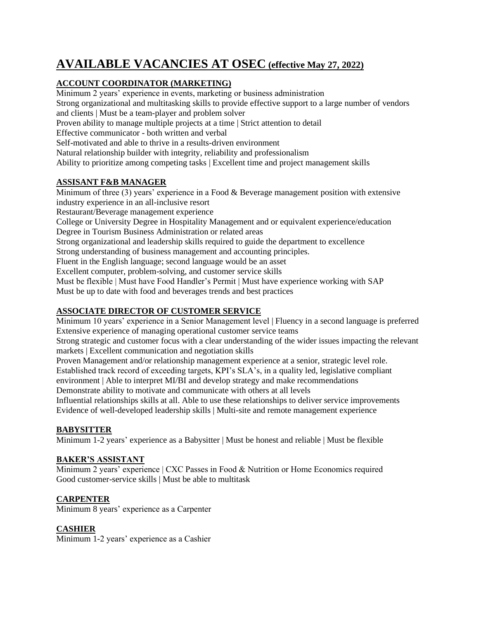# **AVAILABLE VACANCIES AT OSEC (effective May 27, 2022)**

# **ACCOUNT COORDINATOR (MARKETING)**

Minimum 2 years' experience in events, marketing or business administration Strong organizational and multitasking skills to provide effective support to a large number of vendors and clients | Must be a team-player and problem solver Proven ability to manage multiple projects at a time | Strict attention to detail Effective communicator - both written and verbal Self-motivated and able to thrive in a results-driven environment Natural relationship builder with integrity, reliability and professionalism Ability to prioritize among competing tasks | Excellent time and project management skills **ASSISANT F&B MANAGER**  Minimum of three (3) years' experience in a Food & Beverage management position with extensive industry experience in an all-inclusive resort

Restaurant/Beverage management experience

College or University Degree in Hospitality Management and or equivalent experience/education Degree in Tourism Business Administration or related areas

Strong organizational and leadership skills required to guide the department to excellence

Strong understanding of business management and accounting principles.

Fluent in the English language; second language would be an asset

Excellent computer, problem-solving, and customer service skills

Must be flexible | Must have Food Handler's Permit | Must have experience working with SAP

Must be up to date with food and beverages trends and best practices

# **ASSOCIATE DIRECTOR OF CUSTOMER SERVICE**

Minimum 10 years' experience in a Senior Management level | Fluency in a second language is preferred Extensive experience of managing operational customer service teams

Strong strategic and customer focus with a clear understanding of the wider issues impacting the relevant markets | Excellent communication and negotiation skills

Proven Management and/or relationship management experience at a senior, strategic level role. Established track record of exceeding targets, KPI's SLA's, in a quality led, legislative compliant environment | Able to interpret MI/BI and develop strategy and make recommendations

Demonstrate ability to motivate and communicate with others at all levels

Influential relationships skills at all. Able to use these relationships to deliver service improvements Evidence of well-developed leadership skills | Multi-site and remote management experience

#### **BABYSITTER**

Minimum 1-2 years' experience as a Babysitter | Must be honest and reliable | Must be flexible

#### **BAKER'S ASSISTANT**

Minimum 2 years' experience | CXC Passes in Food & Nutrition or Home Economics required Good customer-service skills | Must be able to multitask

#### **CARPENTER**

Minimum 8 years' experience as a Carpenter

#### **CASHIER**

Minimum 1-2 years' experience as a Cashier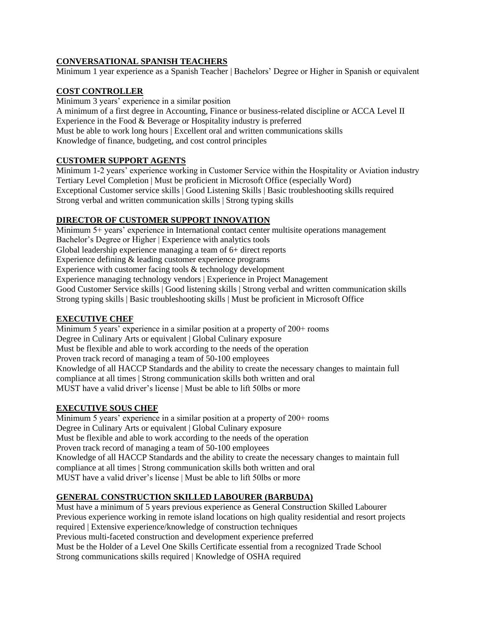### **CONVERSATIONAL SPANISH TEACHERS**

Minimum 1 year experience as a Spanish Teacher | Bachelors' Degree or Higher in Spanish or equivalent

### **COST CONTROLLER**

Minimum 3 years' experience in a similar position A minimum of a first degree in Accounting, Finance or business-related discipline or ACCA Level II Experience in the Food & Beverage or Hospitality industry is preferred Must be able to work long hours | Excellent oral and written communications skills Knowledge of finance, budgeting, and cost control principles

# **CUSTOMER SUPPORT AGENTS**

Minimum 1-2 years' experience working in Customer Service within the Hospitality or Aviation industry Tertiary Level Completion | Must be proficient in Microsoft Office (especially Word) Exceptional Customer service skills | Good Listening Skills | Basic troubleshooting skills required Strong verbal and written communication skills | Strong typing skills

# **DIRECTOR OF CUSTOMER SUPPORT INNOVATION**

Minimum 5+ years' experience in International contact center multisite operations management Bachelor's Degree or Higher | Experience with analytics tools Global leadership experience managing a team of 6+ direct reports Experience defining & leading customer experience programs Experience with customer facing tools & technology development Experience managing technology vendors | Experience in Project Management Good Customer Service skills | Good listening skills | Strong verbal and written communication skills Strong typing skills | Basic troubleshooting skills | Must be proficient in Microsoft Office

# **EXECUTIVE CHEF**

Minimum 5 years' experience in a similar position at a property of 200+ rooms Degree in Culinary Arts or equivalent | Global Culinary exposure Must be flexible and able to work according to the needs of the operation Proven track record of managing a team of 50-100 employees Knowledge of all HACCP Standards and the ability to create the necessary changes to maintain full compliance at all times | Strong communication skills both written and oral MUST have a valid driver's license | Must be able to lift 50lbs or more

#### **EXECUTIVE SOUS CHEF**

Minimum 5 years' experience in a similar position at a property of 200+ rooms Degree in Culinary Arts or equivalent | Global Culinary exposure Must be flexible and able to work according to the needs of the operation Proven track record of managing a team of 50-100 employees Knowledge of all HACCP Standards and the ability to create the necessary changes to maintain full compliance at all times | Strong communication skills both written and oral MUST have a valid driver's license | Must be able to lift 50lbs or more

# **GENERAL CONSTRUCTION SKILLED LABOURER (BARBUDA)**

Must have a minimum of 5 years previous experience as General Construction Skilled Labourer Previous experience working in remote island locations on high quality residential and resort projects required | Extensive experience/knowledge of construction techniques Previous multi-faceted construction and development experience preferred Must be the Holder of a Level One Skills Certificate essential from a recognized Trade School Strong communications skills required | Knowledge of OSHA required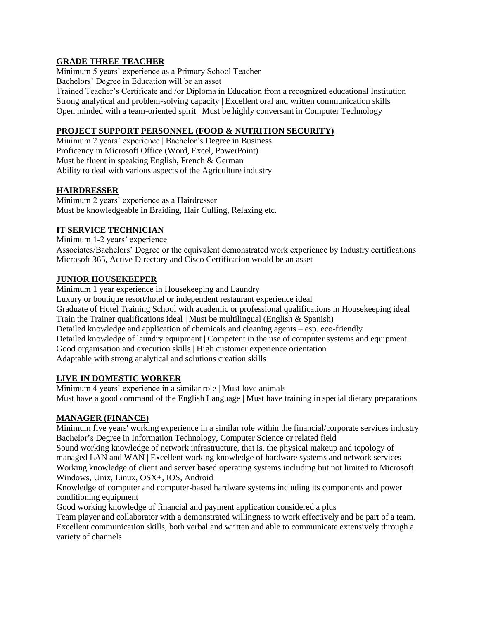#### **GRADE THREE TEACHER**

Minimum 5 years' experience as a Primary School Teacher Bachelors' Degree in Education will be an asset Trained Teacher's Certificate and /or Diploma in Education from a recognized educational Institution Strong analytical and problem-solving capacity | Excellent oral and written communication skills Open minded with a team-oriented spirit | Must be highly conversant in Computer Technology

#### **PROJECT SUPPORT PERSONNEL (FOOD & NUTRITION SECURITY)**

Minimum 2 years' experience | Bachelor's Degree in Business Proficency in Microsoft Office (Word, Excel, PowerPoint) Must be fluent in speaking English, French & German Ability to deal with various aspects of the Agriculture industry

#### **HAIRDRESSER**

Minimum 2 years' experience as a Hairdresser Must be knowledgeable in Braiding, Hair Culling, Relaxing etc.

#### **IT SERVICE TECHNICIAN**

Minimum 1-2 years' experience Associates/Bachelors' Degree or the equivalent demonstrated work experience by Industry certifications | Microsoft 365, Active Directory and Cisco Certification would be an asset

#### **JUNIOR HOUSEKEEPER**

Minimum 1 year experience in Housekeeping and Laundry Luxury or boutique resort/hotel or independent restaurant experience ideal Graduate of Hotel Training School with academic or professional qualifications in Housekeeping ideal Train the Trainer qualifications ideal | Must be multilingual (English & Spanish) Detailed knowledge and application of chemicals and cleaning agents – esp. eco-friendly Detailed knowledge of laundry equipment | Competent in the use of computer systems and equipment Good organisation and execution skills | High customer experience orientation Adaptable with strong analytical and solutions creation skills

#### **LIVE-IN DOMESTIC WORKER**

Minimum 4 years' experience in a similar role | Must love animals Must have a good command of the English Language | Must have training in special dietary preparations

#### **MANAGER (FINANCE)**

Minimum five years' working experience in a similar role within the financial/corporate services industry Bachelor's Degree in Information Technology, Computer Science or related field

Sound working knowledge of network infrastructure, that is, the physical makeup and topology of managed LAN and WAN | Excellent working knowledge of hardware systems and network services Working knowledge of client and server based operating systems including but not limited to Microsoft Windows, Unix, Linux, OSX+, IOS, Android

Knowledge of computer and computer-based hardware systems including its components and power conditioning equipment

Good working knowledge of financial and payment application considered a plus

Team player and collaborator with a demonstrated willingness to work effectively and be part of a team. Excellent communication skills, both verbal and written and able to communicate extensively through a variety of channels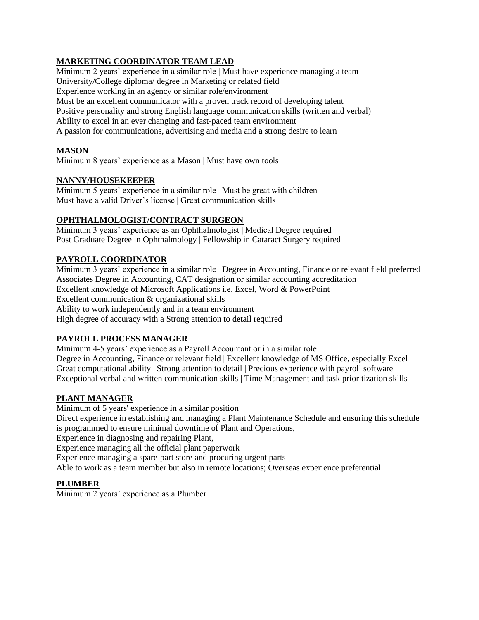# **MARKETING COORDINATOR TEAM LEAD**

Minimum 2 years' experience in a similar role | Must have experience managing a team University/College diploma/ degree in Marketing or related field Experience working in an agency or similar role/environment Must be an excellent communicator with a proven track record of developing talent Positive personality and strong English language communication skills (written and verbal) Ability to excel in an ever changing and fast-paced team environment A passion for communications, advertising and media and a strong desire to learn

#### **MASON**

Minimum 8 years' experience as a Mason | Must have own tools

#### **NANNY/HOUSEKEEPER**

Minimum 5 years' experience in a similar role | Must be great with children Must have a valid Driver's license | Great communication skills

#### **OPHTHALMOLOGIST/CONTRACT SURGEON**

Minimum 3 years' experience as an Ophthalmologist | Medical Degree required Post Graduate Degree in Ophthalmology | Fellowship in Cataract Surgery required

#### **PAYROLL COORDINATOR**

Minimum 3 years' experience in a similar role | Degree in Accounting, Finance or relevant field preferred Associates Degree in Accounting, CAT designation or similar accounting accreditation Excellent knowledge of Microsoft Applications i.e. Excel, Word & PowerPoint Excellent communication & organizational skills Ability to work independently and in a team environment High degree of accuracy with a Strong attention to detail required

#### **PAYROLL PROCESS MANAGER**

Minimum 4-5 years' experience as a Payroll Accountant or in a similar role Degree in Accounting, Finance or relevant field | Excellent knowledge of MS Office, especially Excel Great computational ability | Strong attention to detail | Precious experience with payroll software Exceptional verbal and written communication skills | Time Management and task prioritization skills

#### **PLANT MANAGER**

Minimum of 5 years' experience in a similar position Direct experience in establishing and managing a Plant Maintenance Schedule and ensuring this schedule is programmed to ensure minimal downtime of Plant and Operations, Experience in diagnosing and repairing Plant, Experience managing all the official plant paperwork Experience managing a spare-part store and procuring urgent parts

Able to work as a team member but also in remote locations; Overseas experience preferential

#### **PLUMBER**

Minimum 2 years' experience as a Plumber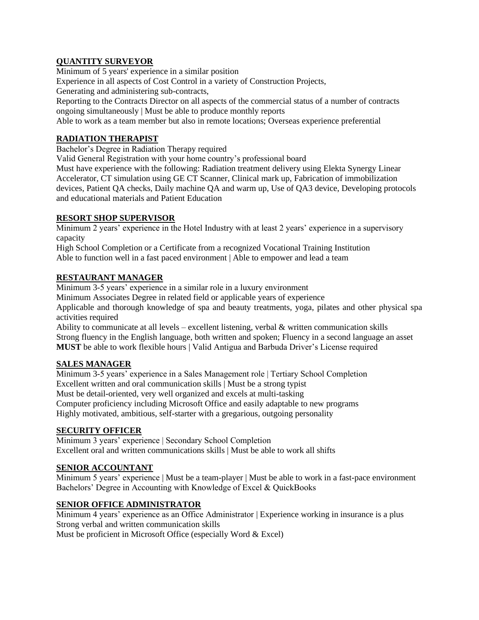#### **QUANTITY SURVEYOR**

Minimum of 5 years' experience in a similar position Experience in all aspects of Cost Control in a variety of Construction Projects,

Generating and administering sub-contracts,

Reporting to the Contracts Director on all aspects of the commercial status of a number of contracts ongoing simultaneously | Must be able to produce monthly reports

Able to work as a team member but also in remote locations; Overseas experience preferential

#### **RADIATION THERAPIST**

Bachelor's Degree in Radiation Therapy required

Valid General Registration with your home country's professional board

Must have experience with the following: Radiation treatment delivery using Elekta Synergy Linear Accelerator, CT simulation using GE CT Scanner, Clinical mark up, Fabrication of immobilization devices, Patient QA checks, Daily machine QA and warm up, Use of QA3 device, Developing protocols and educational materials and Patient Education

#### **RESORT SHOP SUPERVISOR**

Minimum 2 years' experience in the Hotel Industry with at least 2 years' experience in a supervisory capacity

High School Completion or a Certificate from a recognized Vocational Training Institution Able to function well in a fast paced environment | Able to empower and lead a team

# **RESTAURANT MANAGER**

Minimum 3-5 years' experience in a similar role in a luxury environment Minimum Associates Degree in related field or applicable years of experience Applicable and thorough knowledge of spa and beauty treatments, yoga, pilates and other physical spa activities required

Ability to communicate at all levels – excellent listening, verbal  $\&$  written communication skills Strong fluency in the English language, both written and spoken; Fluency in a second language an asset **MUST** be able to work flexible hours | Valid Antigua and Barbuda Driver's License required

#### **SALES MANAGER**

Minimum 3-5 years' experience in a Sales Management role | Tertiary School Completion Excellent written and oral communication skills | Must be a strong typist Must be detail-oriented, very well organized and excels at multi-tasking Computer proficiency including Microsoft Office and easily adaptable to new programs Highly motivated, ambitious, self-starter with a gregarious, outgoing personality

#### **SECURITY OFFICER**

Minimum 3 years' experience | Secondary School Completion Excellent oral and written communications skills | Must be able to work all shifts

#### **SENIOR ACCOUNTANT**

Minimum 5 years' experience | Must be a team-player | Must be able to work in a fast-pace environment Bachelors' Degree in Accounting with Knowledge of Excel & QuickBooks

#### **SENIOR OFFICE ADMINISTRATOR**

Minimum 4 years' experience as an Office Administrator | Experience working in insurance is a plus Strong verbal and written communication skills

Must be proficient in Microsoft Office (especially Word & Excel)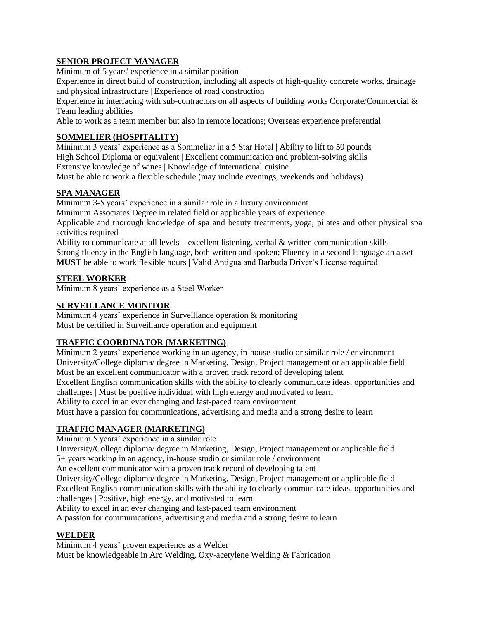# **SENIOR PROJECT MANAGER**

Minimum of 5 years' experience in a similar position

Experience in direct build of construction, including all aspects of high-quality concrete works, drainage and physical infrastructure | Experience of road construction

Experience in interfacing with sub-contractors on all aspects of building works Corporate/Commercial & Team leading abilities

Able to work as a team member but also in remote locations; Overseas experience preferential

### **SOMMELIER (HOSPITALITY)**

Minimum 3 years' experience as a Sommelier in a 5 Star Hotel | Ability to lift to 50 pounds High School Diploma or equivalent | Excellent communication and problem-solving skills Extensive knowledge of wines | Knowledge of international cuisine

Must be able to work a flexible schedule (may include evenings, weekends and holidays)

# **SPA MANAGER**

Minimum 3-5 years' experience in a similar role in a luxury environment

Minimum Associates Degree in related field or applicable years of experience

Applicable and thorough knowledge of spa and beauty treatments, yoga, pilates and other physical spa activities required

Ability to communicate at all levels – excellent listening, verbal & written communication skills Strong fluency in the English language, both written and spoken; Fluency in a second language an asset **MUST** be able to work flexible hours | Valid Antigua and Barbuda Driver's License required

#### **STEEL WORKER**

Minimum 8 years' experience as a Steel Worker

# **SURVEILLANCE MONITOR**

Minimum 4 years' experience in Surveillance operation & monitoring Must be certified in Surveillance operation and equipment

# **TRAFFIC COORDINATOR (MARKETING)**

Minimum 2 years' experience working in an agency, in-house studio or similar role / environment University/College diploma/ degree in Marketing, Design, Project management or an applicable field Must be an excellent communicator with a proven track record of developing talent Excellent English communication skills with the ability to clearly communicate ideas, opportunities and challenges | Must be positive individual with high energy and motivated to learn Ability to excel in an ever changing and fast-paced team environment Must have a passion for communications, advertising and media and a strong desire to learn

# **TRAFFIC MANAGER (MARKETING)**

Minimum 5 years' experience in a similar role

University/College diploma/ degree in Marketing, Design, Project management or applicable field 5+ years working in an agency, in-house studio or similar role / environment

An excellent communicator with a proven track record of developing talent

University/College diploma/ degree in Marketing, Design, Project management or applicable field Excellent English communication skills with the ability to clearly communicate ideas, opportunities and challenges | Positive, high energy, and motivated to learn

Ability to excel in an ever changing and fast-paced team environment

A passion for communications, advertising and media and a strong desire to learn

#### **WELDER**

Minimum 4 years' proven experience as a Welder Must be knowledgeable in Arc Welding, Oxy-acetylene Welding & Fabrication